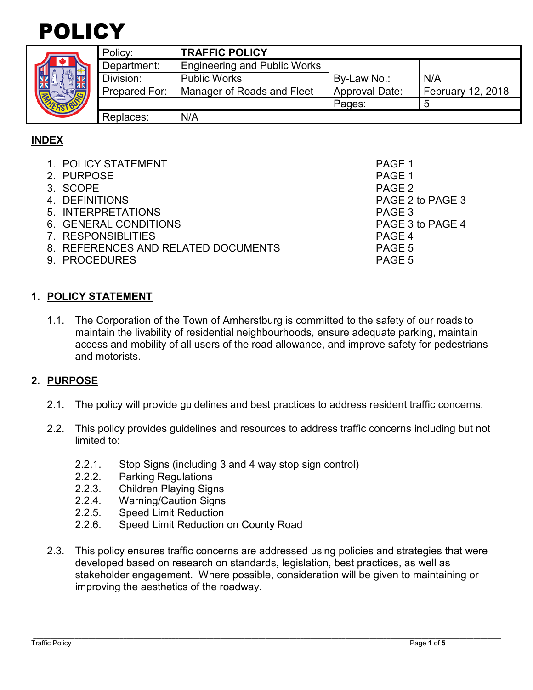

| HER |  |
|-----|--|

| $\frac{1}{2}$ | Policy:       | <b>TRAFFIC POLICY</b>               |                       |                          |
|---------------|---------------|-------------------------------------|-----------------------|--------------------------|
|               | Department:   | <b>Engineering and Public Works</b> |                       |                          |
|               | Division:     | <b>Public Works</b>                 | By-Law No.:           | N/A                      |
|               | Prepared For: | Manager of Roads and Fleet          | <b>Approval Date:</b> | <b>February 12, 2018</b> |
|               |               |                                     | Pages:                |                          |
|               | Replaces:     | N/A                                 |                       |                          |

## **INDEX**

| 1. POLICY STATEMENT                 | PAGE 1            |
|-------------------------------------|-------------------|
| 2. PURPOSE                          | PAGE 1            |
| 3. SCOPE                            | PAGE <sub>2</sub> |
| 4. DEFINITIONS                      | PAGE 2 to PAGE 3  |
| 5. INTERPRETATIONS                  | PAGE 3            |
| 6. GENERAL CONDITIONS               | PAGE 3 to PAGE 4  |
| 7. RESPONSIBLITIES                  | PAGE 4            |
| 8. REFERENCES AND RELATED DOCUMENTS | PAGE 5            |
| 9. PROCEDURES                       | PAGE 5            |
|                                     |                   |

### **1. POLICY STATEMENT**

1.1. The Corporation of the Town of Amherstburg is committed to the safety of our roads to maintain the livability of residential neighbourhoods, ensure adequate parking, maintain access and mobility of all users of the road allowance, and improve safety for pedestrians and motorists.

### **2. PURPOSE**

- 2.1. The policy will provide guidelines and best practices to address resident traffic concerns.
- 2.2. This policy provides guidelines and resources to address traffic concerns including but not limited to:
	- 2.2.1. Stop Signs (including 3 and 4 way stop sign control)
	- 2.2.2. Parking Regulations
	- 2.2.3. Children Playing Signs
	- 2.2.4. Warning/Caution Signs
	- 2.2.5. Speed Limit Reduction
	- 2.2.6. Speed Limit Reduction on County Road
- 2.3. This policy ensures traffic concerns are addressed using policies and strategies that were developed based on research on standards, legislation, best practices, as well as stakeholder engagement. Where possible, consideration will be given to maintaining or improving the aesthetics of the roadway.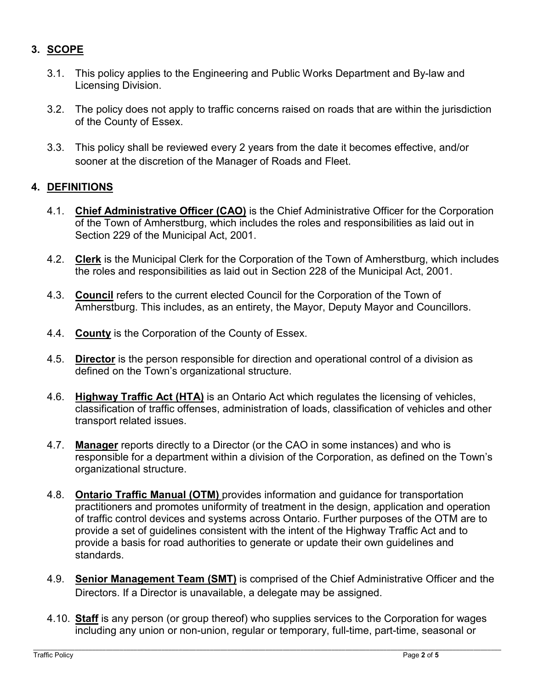# **3. SCOPE**

- 3.1. This policy applies to the Engineering and Public Works Department and By-law and Licensing Division.
- 3.2. The policy does not apply to traffic concerns raised on roads that are within the jurisdiction of the County of Essex.
- 3.3. This policy shall be reviewed every 2 years from the date it becomes effective, and/or sooner at the discretion of the Manager of Roads and Fleet.

### **4. DEFINITIONS**

- 4.1. **Chief Administrative Officer (CAO)** is the Chief Administrative Officer for the Corporation of the Town of Amherstburg, which includes the roles and responsibilities as laid out in Section 229 of the Municipal Act, 2001.
- 4.2. **Clerk** is the Municipal Clerk for the Corporation of the Town of Amherstburg, which includes the roles and responsibilities as laid out in Section 228 of the Municipal Act, 2001.
- 4.3. **Council** refers to the current elected Council for the Corporation of the Town of Amherstburg. This includes, as an entirety, the Mayor, Deputy Mayor and Councillors.
- 4.4. **County** is the Corporation of the County of Essex.
- 4.5. **Director** is the person responsible for direction and operational control of a division as defined on the Town's organizational structure.
- 4.6. **Highway Traffic Act (HTA)** is an Ontario Act which regulates the licensing of vehicles, classification of traffic offenses, administration of loads, classification of vehicles and other transport related issues.
- 4.7. **Manager** reports directly to a Director (or the CAO in some instances) and who is responsible for a department within a division of the Corporation, as defined on the Town's organizational structure.
- 4.8. **Ontario Traffic Manual (OTM)** provides information and guidance for transportation practitioners and promotes uniformity of treatment in the design, application and operation of traffic control devices and systems across Ontario. Further purposes of the OTM are to provide a set of guidelines consistent with the intent of the Highway Traffic Act and to provide a basis for road authorities to generate or update their own guidelines and standards.
- 4.9. **Senior Management Team (SMT)** is comprised of the Chief Administrative Officer and the Directors. If a Director is unavailable, a delegate may be assigned.
- 4.10. **Staff** is any person (or group thereof) who supplies services to the Corporation for wages including any union or non-union, regular or temporary, full-time, part-time, seasonal or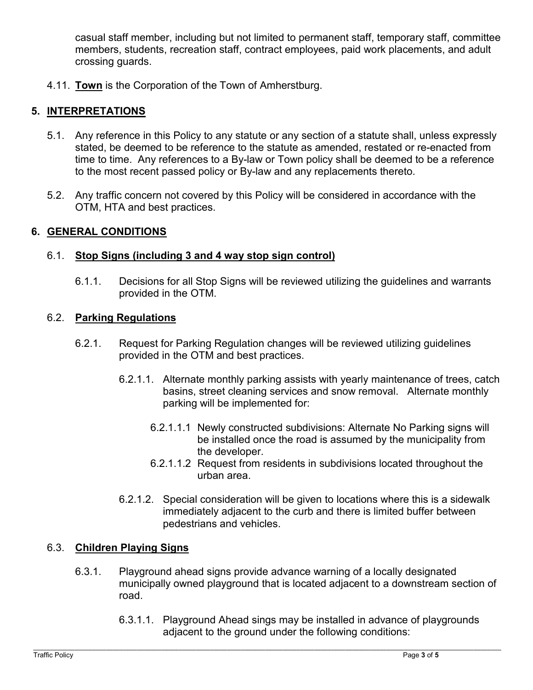casual staff member, including but not limited to permanent staff, temporary staff, committee members, students, recreation staff, contract employees, paid work placements, and adult crossing guards.

4.11. **Town** is the Corporation of the Town of Amherstburg.

## **5. INTERPRETATIONS**

- 5.1. Any reference in this Policy to any statute or any section of a statute shall, unless expressly stated, be deemed to be reference to the statute as amended, restated or re-enacted from time to time. Any references to a By-law or Town policy shall be deemed to be a reference to the most recent passed policy or By-law and any replacements thereto.
- 5.2. Any traffic concern not covered by this Policy will be considered in accordance with the OTM, HTA and best practices.

### **6. GENERAL CONDITIONS**

### 6.1. **Stop Signs (including 3 and 4 way stop sign control)**

6.1.1. Decisions for all Stop Signs will be reviewed utilizing the guidelines and warrants provided in the OTM.

### 6.2. **Parking Regulations**

- 6.2.1. Request for Parking Regulation changes will be reviewed utilizing guidelines provided in the OTM and best practices.
	- 6.2.1.1. Alternate monthly parking assists with yearly maintenance of trees, catch basins, street cleaning services and snow removal. Alternate monthly parking will be implemented for:
		- 6.2.1.1.1 Newly constructed subdivisions: Alternate No Parking signs will be installed once the road is assumed by the municipality from the developer.
		- 6.2.1.1.2 Request from residents in subdivisions located throughout the urban area.
	- 6.2.1.2. Special consideration will be given to locations where this is a sidewalk immediately adjacent to the curb and there is limited buffer between pedestrians and vehicles.

### 6.3. **Children Playing Signs**

- 6.3.1. Playground ahead signs provide advance warning of a locally designated municipally owned playground that is located adjacent to a downstream section of road.
	- 6.3.1.1. Playground Ahead sings may be installed in advance of playgrounds adjacent to the ground under the following conditions: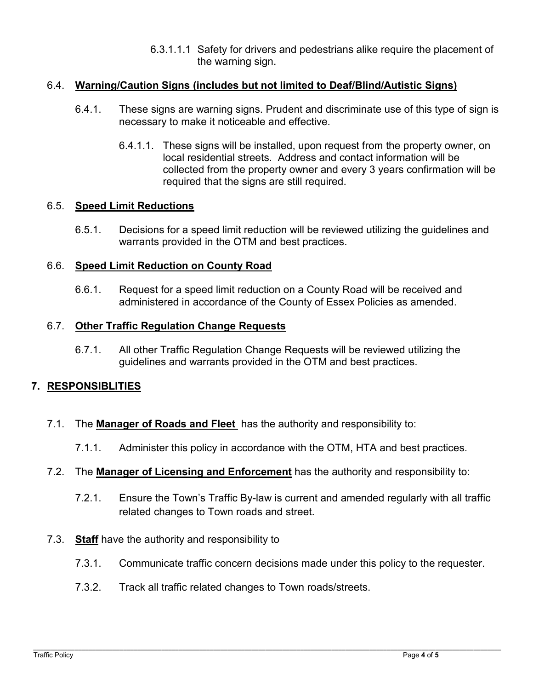6.3.1.1.1 Safety for drivers and pedestrians alike require the placement of the warning sign.

#### 6.4. **Warning/Caution Signs (includes but not limited to Deaf/Blind/Autistic Signs)**

- 6.4.1. These signs are warning signs. Prudent and discriminate use of this type of sign is necessary to make it noticeable and effective.
	- 6.4.1.1. These signs will be installed, upon request from the property owner, on local residential streets. Address and contact information will be collected from the property owner and every 3 years confirmation will be required that the signs are still required.

#### 6.5. **Speed Limit Reductions**

6.5.1. Decisions for a speed limit reduction will be reviewed utilizing the guidelines and warrants provided in the OTM and best practices.

#### 6.6. **Speed Limit Reduction on County Road**

6.6.1. Request for a speed limit reduction on a County Road will be received and administered in accordance of the County of Essex Policies as amended.

#### 6.7. **Other Traffic Regulation Change Requests**

6.7.1. All other Traffic Regulation Change Requests will be reviewed utilizing the guidelines and warrants provided in the OTM and best practices.

### **7. RESPONSIBLITIES**

- 7.1. The **Manager of Roads and Fleet** has the authority and responsibility to:
	- 7.1.1. Administer this policy in accordance with the OTM, HTA and best practices.
- 7.2. The **Manager of Licensing and Enforcement** has the authority and responsibility to:
	- 7.2.1. Ensure the Town's Traffic By-law is current and amended regularly with all traffic related changes to Town roads and street.
- 7.3. **Staff** have the authority and responsibility to
	- 7.3.1. Communicate traffic concern decisions made under this policy to the requester.
	- 7.3.2. Track all traffic related changes to Town roads/streets.